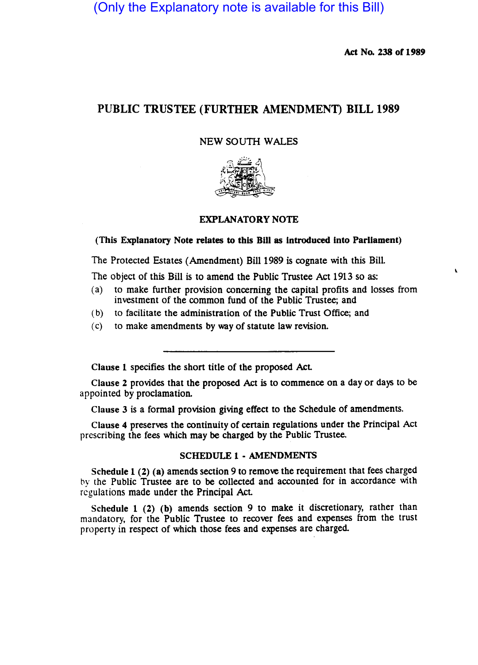(Only the Explanatory note is available for this Bill)

Act No. 238 or 1989

# PUBLIC TRUSTEE (FURTHER AMENDMENT) BILL 1989

### NEW SOUTH WALES



# EXPLANATORY NOTE

## (This Explanatory Note relates to this Bill as introduced into Parliament)

The Protected Estates (Amendment) Bill 1989 is cognate with this BilL

The object of this Bill is to amend the Public Trustee Act 1913 so as:

- (a) to make further provision concerning the capital profits and losses from investment of the common fund of the Public Trustee; and
- (b) to facilitate the administration of the Public Trust Office; and
- (c) to make amendments by way of statute law revision.

Clause 1 specifies the short title of the proposed Act.

Clause 2 provides that the proposed Act is to commence on a day or days to be appointed by proclamation.

Clause 3 is a formal provision giving effect to the Schedule of amendments.

Clause 4 preserves the continuity of certain regulations under the Principal Act prescribing the fees which may be charged by the Public Trustee.

#### SCHEDULE 1 - AMENDMENTS

Schedule 1 (2) (a) amends section 9 to remove the requirement that fees charged by the Public Trustee are to be collected and accounted for in accordance with regulations made under the Principal AcL

Schedule 1 (2) (b) amends section 9 to make it discretionary, rather than mandatory, for the Public Trustee to recover fees and expenses from the trust property in respect of which those fees and expenses are charged